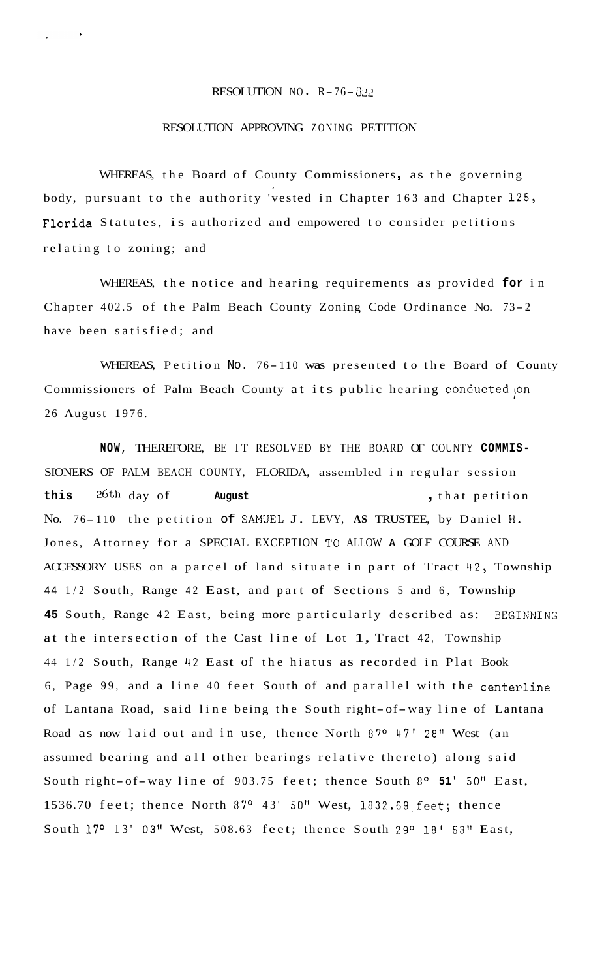## RESOLUTION NO.  $R-76-822$

## RESOLUTION APPROVING ZONING PETITION

WHEREAS, the Board of County Commissioners, as the governing body, pursuant to the authority 'vested in Chapter 163 and Chapter 125, **Florida** Statutes, is authorized and empowered to consider petitions **I.**  relating to zoning; and

WHEREAS, the notice and hearing requirements as provided **for** in Chapter 402.5 of the Palm Beach County Zoning Code Ordinance No. 73- <sup>2</sup> have been satisfied; and

WHEREAS, Petition No. 76-110 was presented to the Board of County Commissioners of Palm Beach County at its public hearing conducted on 26 August 1976.

**NOW,** THEREFORE, BE IT RESOLVED BY THE BOARD OF COUNTY **COMMIS-**SIONERS OF PALM BEACH COUNTY, FLORIDA, assembled in regular session **this** 26th day of **August** , that petition No. 76-110 the petition of SAMUEL J. LEVY, AS TRUSTEE, by Daniel H. Jones, Attorney for a SPECIAL EXCEPTION TO ALLOW **A** GOLF COURSE AND ACCESSORY USES on a parcel of land situate in part of Tract 42, Township <sup>44</sup>1/2 South, Range 42 East, and part of Sections 5 and 6, Township 45 South, Range 42 East, being more particularly described as: BEGINNING at the intersection of the Cast line of Lot 1, Tract 42, Township 44 1/2 South, Range 42 East of the hiatus as recorded in Plat Book 6, Page 99, and a line 40 feet South of and parallel with the centerline of Lantana Road, said line being the South right-of-way line of Lantana Road as now laid out and in use, thence North 87° 47' 28" West (an assumed bearing and all other bearings relative thereto) along said South right-of-way line of 903.75 feet; thence South 8° 51' 50" East, 1536.70 feet; thence North 87° 43' 50" West, 1832.69 feet; thence South 17° 13' 03" West, 508.63 feet; thence South 29° 18' 53" East,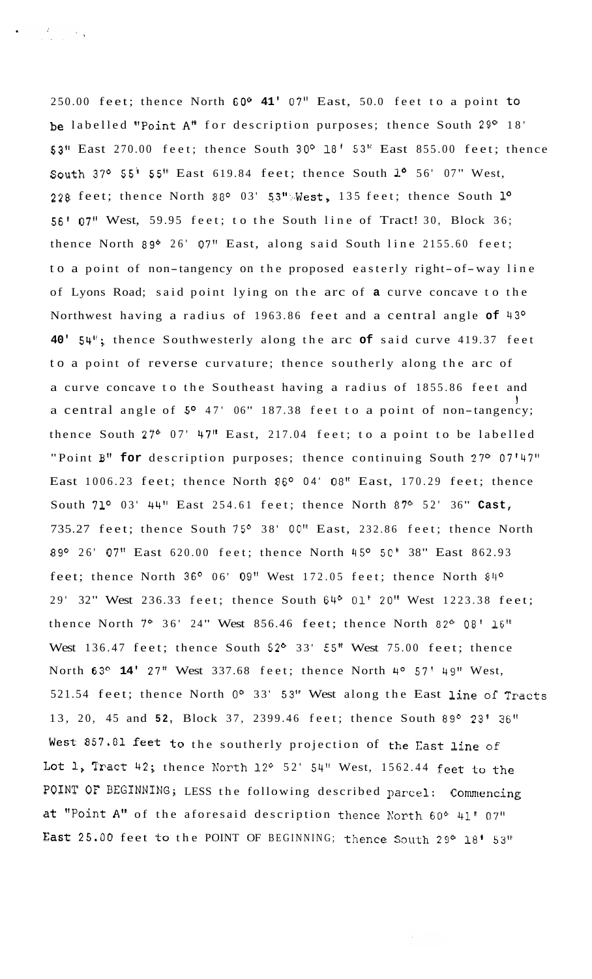250.00 feet; thence North **GOo 41'** 07" East, 50.0 feet to a point to **be** labelled "Point **A"** for description purposes; thence South 29' 18' **53"** East 270.00 feet; thence South 30° **18'** 53" East 855.00 feet; thence South 37° 55' 55" East 619.84 feet; thence South 1° 56' 07" West, 228 feet; thence North 88° 03' 53": West, 135 feet; thence South 1° 56' 07" West, 59.95 feet; to the South line of Tract! 30, Block 36; thence North 89 $0$  26' 07" East, along said South line 2155.60 feet; to a point of non-tangency on the proposed easterly right-of-way line of Lyons Road; said point lying on the arc of **a** curve concave to the Northwest having a radius of 1963.86 feet and a central angle **of** 43' **40' 54";** thence Southwesterly along the arc **of** said curve 419.37 feet to a point of reverse curvature; thence southerly along the arc of a curve concave to the Southeast having a radius of 1855.86 feet and a central angle of **So** 47' 06" 187.38 feet to a point of non-tangency; I thence South  $27^{\circ}$  07' 47" East, 217.04 feet; to a point to be labelled "Point B" for description purposes; thence continuing South 27° 07'47" East  $1006.23$  feet; thence North  $86^{\circ}$  04' 08" East, 170.29 feet; thence South 71<sup>o</sup> 03' 44" East 254.61 feet; thence North 87<sup>o</sup> 52' 36" Cast, 735.27 feet; thence South 75° 38' 00" East, 232.86 feet; thence North 89° 26' 07" East 620.00 feet; thence North 45° 50' 38" East 862.93 feet; thence North  $36^{\circ}$  06' 09" West 172.05 feet; thence North  $84^{\circ}$ 29' 32" West 236.33 feet; thence South 64° 01' 20" West 1223.38 feet; thence North 7° 36' 24" West 856.46 feet; thence North 82° 08' 16" West 136.47 feet; thence South  $52^{\circ}$  33'  $55$ " West 75.00 feet; thence North 63<sup>o</sup> 14' 27" West 337.68 feet; thence North 4<sup>o</sup> 57' 49" West, 521.54 feet; thence North **Oo** 33' 53" West along the East line of Tracts 13, 20, 45 and 52, Block 37, 2399.46 feet; thence South 89° 23' 36" West 857.81 feet to the southerly projection of the Cast line **of**  Lot 1, Tract 42; thence North 12° 52' 54" West, 1562.44 feet to the POINT OF BEGINNING; LESS the following described parcel: Commencing at ''Point **A"** of the aforesaid description thence North 600 41' *<sup>0711</sup>*

East 25.00 feet to the POINT OF BEGINNING; thence South 29° 18' 53"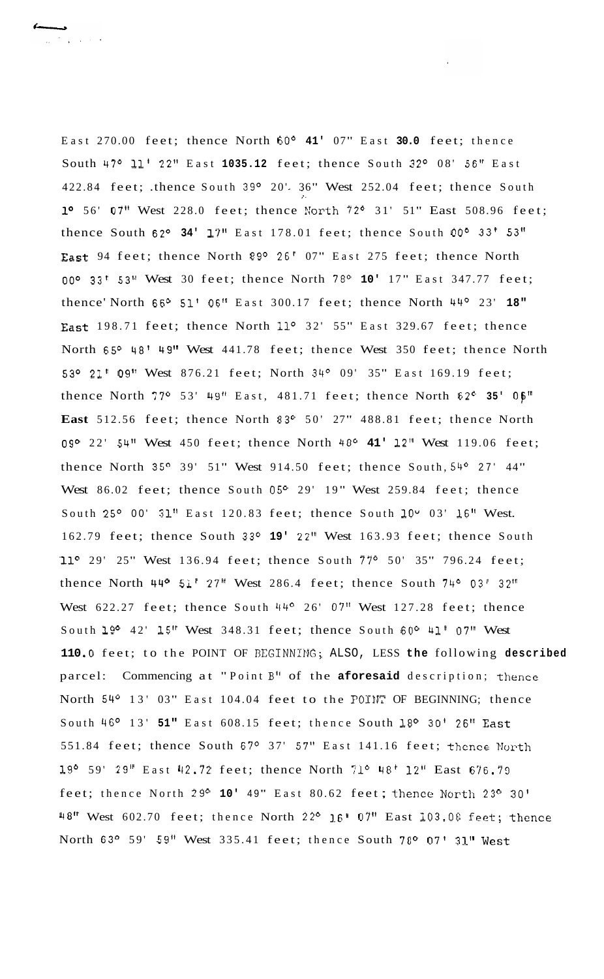East 270.00 feet; thence North 60° **41'** 07" East **30.0** feet; thence South 47° 11' 22" East 1035.12 feet; thence South 32° 08' 56" East 422.84 feet; .thence South 39° 20' 36" West 252.04 feet; thence South 1° 56' 07" West 228.0 feet; thence North 72° 31' 51" East 508.96 feet; thence South 62° 34' 17" East 178.01 feet; thence South 00° 33' 53" East 94 feet; thence North 89° 26' 07" East 275 feet; thence North 00° 33' 53" West 30 feet; thence North 78° 10' 17" East 347.77 feet; thence' North 66° 51' 06" East 300.17 feet; thence North 44° 23' 18" East 198.71 feet; thence North 11° 32' 55" East 329.67 feet; thence North 65° 48' 49" West 441.78 feet; thence West 350 feet; thence North 53° 21' 09" West 876.21 feet; North 34° 09' 35" East 169.19 feet; thence North 77° 53' 49" East, 481.71 feet; thence North 62° 35' 06" East 512.56 feet; thence North 83° 50' 27" 488.81 feet; thence North **09O** 22' **54"** West 450 feet; thence North 48O **41' 12''** West 119.06 feet; thence North 35° 39' 51" West 914.50 feet; thence South,  $54^{\circ}$  27' 44" West  $86.02$  feet; thence South  $05^{\circ}$  29' 19" West 259.84 feet; thence South 25° 00' 31" East 120.83 feet; thence South 10° 03' 16" West. 162.79 feet; thence South 33° 19' 22" West 163.93 feet; thence South **'11O** 29' 25" West 136.94 feet; thence South 77O 50' 35" 796.24 feet; thence North 44<sup>o</sup> 51' 27" West 286.4 feet; thence South 74<sup>o</sup> 03' 32" West  $622.27$  feet; thence South  $44^{\circ}$  26' 07" West 127.28 feet; thence South 19O 42' **15"** West 348.31 feet; thence South 60° **41'** 07" West 110.0 feet; to the POINT OF BEGINNING; ALSO, LESS the following described parcel: Commencing at " Point B" of the **aforesaid** description; thence North 54° 13' 03" East 104.04 feet to the POINT OF BEGINNING; thence South 46° 13' 51" East 608.15 feet; thence South 18° 30' 26" East 551.84 feet; thence South 67° 37' 57" East 141.16 feet; thence North 19' 59' 29" East '12.72 feet; thence North **71O** 48' 12" East 676.79 feet; thence North 29° 10' 49" East 80.62 feet; thence North 23° 30' 48" West 602.70 feet; thence North 22° 16' 07" East 103.08 feet; thence North 63° 59' 59" West 335.41 feet; thence South 78° 07' 31" West